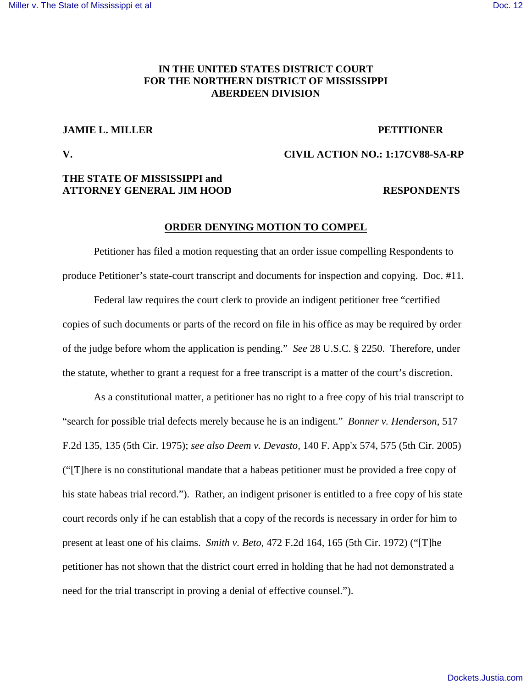# **IN THE UNITED STATES DISTRICT COURT FOR THE NORTHERN DISTRICT OF MISSISSIPPI ABERDEEN DIVISION**

# **JAMIE L. MILLER PETITIONER**

## **V. CIVIL ACTION NO.: 1:17CV88-SA-RP**

# **THE STATE OF MISSISSIPPI and ATTORNEY GENERAL JIM HOOD RESPONDENTS**

### **ORDER DENYING MOTION TO COMPEL**

 Petitioner has filed a motion requesting that an order issue compelling Respondents to produce Petitioner's state-court transcript and documents for inspection and copying. Doc. #11.

 Federal law requires the court clerk to provide an indigent petitioner free "certified copies of such documents or parts of the record on file in his office as may be required by order of the judge before whom the application is pending." *See* 28 U.S.C. § 2250. Therefore, under the statute, whether to grant a request for a free transcript is a matter of the court's discretion.

 As a constitutional matter, a petitioner has no right to a free copy of his trial transcript to "search for possible trial defects merely because he is an indigent." *Bonner v. Henderson*, 517 F.2d 135, 135 (5th Cir. 1975); *see also Deem v. Devasto,* 140 F. App'x 574, 575 (5th Cir. 2005) ("[T]here is no constitutional mandate that a habeas petitioner must be provided a free copy of his state habeas trial record."). Rather, an indigent prisoner is entitled to a free copy of his state court records only if he can establish that a copy of the records is necessary in order for him to present at least one of his claims. *Smith v. Beto*, 472 F.2d 164, 165 (5th Cir. 1972) ("[T]he petitioner has not shown that the district court erred in holding that he had not demonstrated a need for the trial transcript in proving a denial of effective counsel.").